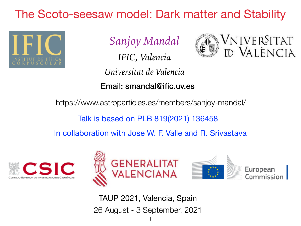# The Scoto-seesaw model: Dark matter and Stability



*Sanjoy Mandal*

*IFIC, Valencia*

*Universitat de Valencia*

Email: smandal@ific.uv.es

https://www.astroparticles.es/members/sanjoy-mandal/

Talk is based on PLB 819(2021) 136458

In collaboration with Jose W. F. Valle and R. Srivastava







Vniver§itat

E VALÈNCIA

26 August - 3 September, 2021 TAUP 2021, Valencia, Spain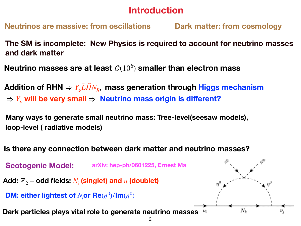## **Introduction**

**Neutrinos are massive: from oscillations Dark matter: from cosmology**

**The SM is incomplete: New Physics is required to account for neutrino masses and dark matter**

**Neutrino masses are at least** (106 ) **smaller than electron mass**

Addition of RHN  $\Rightarrow$   $Y_{\nu} \overline{L} \tilde{H} N_R$ , mass generation through Higgs mechanism  $\Rightarrow$  *Y<sub>v</sub>* will be very small  $\Rightarrow$  Neutrino mass origin is different?

**Many ways to generate small neutrino mass: Tree-level(seesaw models), loop-level ( radiative models)**

**Is there any connection between dark matter and neutrino masses?**

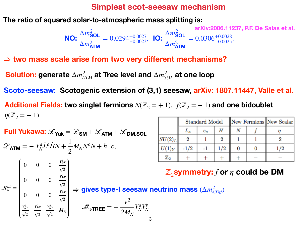#### **Simplest scot-seesaw mechanism**

**The ratio of squared solar-to-atmospheric mass splitting is:**

**NO:** 
$$
\frac{\Delta m_{\text{SOL}}^2}{\Delta m_{\text{ATM}}^2}
$$
 = 0.0294<sup>+0.0027</sup>, **IO:**  $\frac{\Delta m_{\text{SOL}}^2}{\Delta m_{\text{ATM}}^2}$  = 0.0306<sup>+0.0028</sup>  
 $\Delta m_{\text{ATM}}^2$  = 0.0306<sup>+0.0028</sup>  
 $\Delta m_{\text{ATM}}^2$ 

⇒ **two mass scale arise from two very different mechanisms?**

 ${\bf Solution:}$  generate  $\Delta m^2_{ATM}$  at Tree level and  $\Delta m^2_{SOL}$  at one loop

**Scoto-seesaw: Scotogenic extension of (3,1) seesaw, arXiv: 1807.11447, Valle et al.**

**Additional Fields: two singlet fermions**  $N(\mathbb{Z}_2 = +1)$ ,  $f(\mathbb{Z}_2 = -1)$  and one bidoublet  $\eta(\mathbb{Z}_2 = -1)$ 

**Full Yukawa:** 
$$
\mathcal{L}_{\mathbf{Yuk}} = \mathcal{L}_{\mathbf{SM}} + \mathcal{L}_{\mathbf{ATM}} + \mathcal{L}_{\mathbf{DM, SOL}}
$$
  
\n
$$
\mathcal{L}_{\mathbf{ATM}} = -Y_N^a \bar{L}^a \tilde{H}N + \frac{1}{2} M_N \overline{N}^c N + h.c,
$$
\n
$$
\begin{array}{|l|l|}\n\hline\n\text{SU(2)}_L & 2 & 1 & 2 \\
\hline\n\text{SU(2)}_L & 2 & 1 & 2 \\
\hline\n\text{SU(2)}_L & 2 & 1 & 2 \\
\hline\n\text{SU(2)}_L & 2 & 1 & 2 \\
\hline\n\text{SU(2)}_L & 2 & 1 & 2 \\
\hline\n\text{SU(2)}_L & 2 & 1 & 2 \\
\hline\n\text{SU(2)}_L & 2 & 1 & 2 \\
\hline\n\text{SU(2)}_L & 2 & 1 & 2 \\
\hline\n\text{SU(2)}_L & 2 & 1 & 2 \\
\hline\n\text{SU(2)}_L & 2 & 1 & 2 \\
\hline\n\text{SU(2)}_L & 2 & 1 & 2 \\
\hline\n\text{SU(2)}_L & 2 & 1 & 2 \\
\hline\n\text{SU(2)}_L & 2 & 1 & 2 \\
\hline\n\text{SU(2)}_L & 2 & 1 & 2 \\
\hline\n\text{SU(2)}_L & 2 & 1 & 2 \\
\hline\n\text{SU(2)}_L & 2 & 1 & 2 \\
\hline\n\text{SU(2)}_L & 2 & 1 & 2 \\
\hline\n\text{SU(2)}_L & 2 & 1 & 2 \\
\hline\n\text{SU(2)}_L & 2 & 1 & 2 \\
\hline\n\text{SU(2)}_L & 2 & 1 & 2 \\
\hline\n\text{SU(2)}_L & 2 & 1 & 2 \\
\hline\n\
$$

2  $\sqrt{2}$   $\sqrt{2}$ 

|                | Standard Model |           |     | New Fermions New Scalar |  |     |
|----------------|----------------|-----------|-----|-------------------------|--|-----|
|                | $L_a$          | $\it e_a$ | Η   |                         |  |     |
| $\ SU(2)_L\ $  | 2              |           |     |                         |  |     |
| $U(1)_Y$       | $-1/2$         |           | 1/2 |                         |  | 1/2 |
| $\mathbb{Z}_2$ |                |           |     |                         |  |     |

ℤ2**symmetry:** *f* **or** *η* **could be DM**

3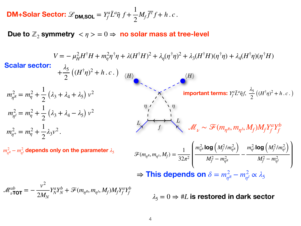**DM+Solar Sector:** 
$$
\mathcal{L}_{\text{DM,SQL}} = Y_f^a \bar{L}^a \tilde{\eta} f + \frac{1}{2} M_f \bar{f}^c f + h.c.
$$

**Due** to  $\mathbb{Z}_2$  symmetry  $\langle \eta \rangle = 0 \Rightarrow$  **no** solar mass at tree-level

| <b>Scalar sector:</b>                                                                                                                                                                                            |
|------------------------------------------------------------------------------------------------------------------------------------------------------------------------------------------------------------------|
| $V = -\mu_H^2 H^\dagger H + m_\eta^2 \eta^\dagger \eta + \lambda (H^\dagger H)^2 + \lambda_\eta (\eta^\dagger \eta)^2 + \lambda_3 (H^\dagger H)(\eta^\dagger \eta) + \lambda_4 (H^\dagger \eta)(\eta^\dagger H)$ |
| <b>Scalar sector:</b>                                                                                                                                                                                            |
| $+\frac{\lambda_5}{2} ((H^\dagger \eta)^2 + h.c.)$                                                                                                                                                               |
| $m_{\eta^2}^2 = m_\eta^2 + \frac{1}{2} (\lambda_3 + \lambda_4 + \lambda_5) v^2$                                                                                                                                  |
| $m_{\eta^2}^2 = m_\eta^2 + \frac{1}{2} (\lambda_3 + \lambda_4 - \lambda_5) v^2$                                                                                                                                  |
| $m_{\eta^2}^2 = m_\eta^2 + \frac{1}{2} \lambda_3 v^2$                                                                                                                                                            |
| $m_{\eta^2}^2 = m_\eta^2 + \frac{1}{2} \lambda_3 v^2$                                                                                                                                                            |
| $m_{\eta^2}^2 = m_\eta^2 + \frac{1}{2} \lambda_3 v^2$                                                                                                                                                            |
| $m_{\eta^2}^2 = m_\eta^2 + \frac{1}{2} \lambda_3 v^2$                                                                                                                                                            |
| $m_{\eta^2}^2 = m_\eta^2 + \frac{1}{2} \lambda_3 v^2$                                                                                                                                                            |
| $m_{\eta^2}^2 = m_\eta^2 + \frac{1}{2} \lambda_3 v^2$                                                                                                                                                            |
| $m_{\eta^2}^2 = m_\eta^2 + \frac{1}{2} \lambda_3 v^2$                                                                                                                                                            |
| $m_{\eta^2}^2 = m_\eta^2 + \frac{1}{2} \lambda_3 v^2$                                                                                                                                                            |
| $m_{\eta^2}^2 = m_\eta^2 + \frac{1}{2} \lambda_3 v^2$                                                                                                                                                            |

 $\Rightarrow$  This depends on  $\delta = m_{\eta^R}^2 - m_{\eta^I}^2 \propto \lambda_5$ 

 $\lambda_5 = 0 \Rightarrow \text{\#L}$  is restored in dark sector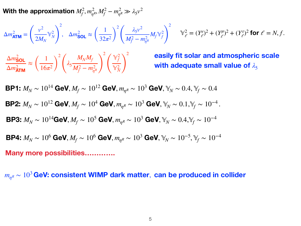With the approximation  $M_f^2, m_{\eta^R}^2, M_f^2 - m_{\eta^R}^2 \gg \lambda_5 v^2$ 

$$
\Delta m_{\text{ATM}}^2 = \left(\frac{v^2}{2M_N}\mathbb{Y}_N^2\right)^2, \quad \Delta m_{\text{SOL}}^2 \approx \left(\frac{1}{32\pi^2}\right)^2 \left(\frac{\lambda_5 v^2}{M_f^2 - m_{\eta^R}^2} M_f \mathbb{Y}_f^2\right)^2 \qquad \mathbb{Y}_\ell^2 = (Y_\ell^e)^2 + (Y_\ell^{\mu})^2 + (Y_\ell^{\tau})^2 \text{ for } \ell = N, f.
$$

 $\Delta m^2_{\text{SOL}}$  $\Delta m^2$ <sub>ATM</sub> <sup>≈</sup> ( 1  $\sqrt{16\pi^2}$ 2  $\begin{pmatrix} \lambda_5 \end{pmatrix}$  $M_{N}M_{f}$  $M_f^2 - m_{\eta^R}^2$ 2  $\sqrt{2}$  $\mathbb{Y}^2_f$  $\mathbb{Y}_N^2$ 2

**easily fit solar and atmospheric scale** with adequate small value of  $\lambda_5$ 

$$
\begin{aligned}\n\mathbf{B} \mathbf{P} \mathbf{1:} \ M_N &\sim 10^{14} \text{ GeV}, M_f \sim 10^{12} \text{ GeV}, m_{\eta^R} \sim 10^3 \text{ GeV}, \mathbb{Y}_N \sim 0.4, \mathbb{Y}_f \sim 0.4 \\
\mathbf{B} \mathbf{P} \mathbf{2:} \ M_N &\sim 10^{12} \text{ GeV}, M_f \sim 10^4 \text{ GeV}, m_{\eta^R} \sim 10^3 \text{ GeV}, \mathbb{Y}_N \sim 0.1, \mathbb{Y}_f \sim 10^{-4} \\
\mathbf{B} \mathbf{P} \mathbf{3:} \ M_N &\sim 10^{14} \text{GeV}, M_f \sim 10^5 \text{ GeV}, m_{\eta^R} \sim 10^3 \text{ GeV}, \mathbb{Y}_N \sim 0.4, \mathbb{Y}_f \sim 10^{-4} \\
\mathbf{B} \mathbf{P} \mathbf{4:} \ M_N &\sim 10^6 \text{ GeV}, M_f \sim 10^6 \text{ GeV}, m_{\eta^R} \sim 10^3 \text{ GeV}, \mathbb{Y}_N \sim 10^{-5}, \mathbb{Y}_f \sim 10^{-4} \\
\mathbf{Many more possibilities} \dots \dots \dots\n\end{aligned}
$$

*mη<sup>R</sup>* ∼ 10<sup>3</sup> **GeV: consistent WIMP dark matter**, **can be produced in collider**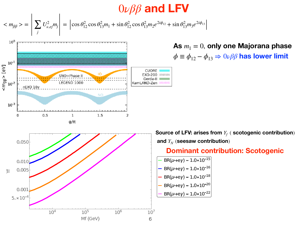# 0*νββ* **and LFV**

$$
\langle m_{\beta\beta} \rangle = \left| \sum_{j} U_{\nu,ej}^2 m_j \right| = \left| \cos \theta_{12}^2 \cos \theta_{13}^2 m_1 + \sin \theta_{12}^2 \cos \theta_{13}^2 m_2 e^{2i\phi_{12}} + \sin \theta_{13}^2 m_3 e^{2i\phi_{13}} \right|
$$



As  $m_1 = 0$ , only one Majorana phase  $\phi \equiv \phi_{12} - \phi_{13} \Rightarrow 0\nu\beta\beta$  has lower limit

**Source of LFV: arises from** *Yf* ( **scotogenic contribution**) and  $Y_N$  (seesaw contribution)

#### **Dominant contribution: Scotogenic**

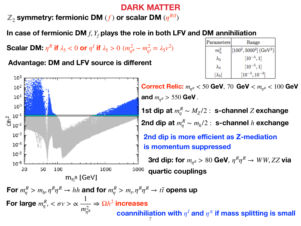## **DARK MATTER**

ℤ<sup>2</sup> **symmetry: fermionic DM** (*f* ) **or scalar DM** (*ηR*/*<sup>I</sup>* )

**In case of fermionic DM** *f*, *Yf* **plays the role in both LFV and DM annihiliation**

**Scalar DM:**  $\eta^R$  if  $\lambda_5 < 0$  or  $\eta^I$  if  $\lambda_5 > 0$   $(m_{\eta^R}^2 - m_{\eta^I}^2 = \lambda_5 v^2)$ 

**Advantage: DM and LFV source is different**



| Parameters    | Range                                 |  |  |  |
|---------------|---------------------------------------|--|--|--|
| $m_n^2$       | $[100^2, 5000^2]$ (GeV <sup>2</sup> ) |  |  |  |
| $\lambda_3$   | $[10^{-5}, 1]$                        |  |  |  |
| $\lambda_4$   | $[10^{-5}, 1]$                        |  |  |  |
| $\lambda_{5}$ | $\left[10^{-5}, 10^{-3}\right]$       |  |  |  |

**Correct Relic:**  $m_{\eta^R}$  < 50 **GeV**, 70 **GeV** <  $m_{\eta^R}$  < 100 **GeV** and  $m_{nR} > 550$  GeV. **1st dip at**  $m_\eta^R \sim M_Z/2$  : s-channel *Z* exchange 2nd dip at  $m_\eta^R \sim m_h/2$  : s-channel  $h$  exchange **2nd dip is more efficient as Z-mediation is momentum suppressed 3rd dip:** for  $m_{nR} > 80$  GeV,  $\eta^R \eta^R \rightarrow WW, ZZ$  via **quartic couplings**

For  $m_\eta^R > m_h, \eta^R \eta^R \to hh$  and for  $m_\eta^R > m_t, \eta^R \eta^R \to t\bar t$  opens up **For large**  $m_{\eta}^R$ ,  $<\sigma v>\infty$ 1  $m_{\eta^R}^2$  $\Rightarrow$   $\Omega h^2$  increases **coannihiliation** with  $\eta^I$  and  $\eta^{\pm}$  if mass splitting is small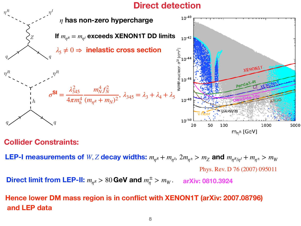## **Direct detection**



### **Collider Constraints:**

**LEP-I measurements of** W, Z decay widths:  $m_{\eta R} + m_{\eta I}$ ,  $2m_{\eta \pm} > m_Z$  and  $m_{\eta R/\eta I} + m_{\eta \pm} > m_W$ Phys. Rev. D 76 (2007) 095011

**Direct limit from LEP-II:**  $m_{\eta^R} > 80$  GeV and  $m_{\eta}^{\pm} > m_W$ . arXiv: 0810.3924

**Hence lower DM mass region is in conflict with XENON1T (arXiv: 2007.08796) and LEP data**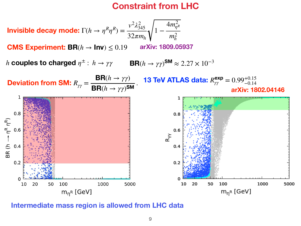## **Constraint from LHC**



**CMS Experiment:**  $\mathbf{BR}(h \to \mathbf{Inv}) \leq 0.19$ **arXiv: 1809.05937**

*h* couples to charged  $\eta^\pm:\ h\to \gamma\gamma$  BR( $h\to \gamma\gamma$ )SM  $\approx 2.27\times 10^{-3}$ 



**Intermediate mass region is allowed from LHC data**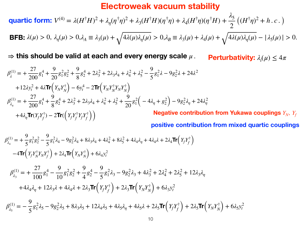### **Electroweak vacuum stability**

**quartic form:**  $V^{(4)} = \lambda (H^{\dagger}H)^2 + \lambda_{\eta} (\eta^{\dagger}\eta)^2 + \lambda_3 (H^{\dagger}H)(\eta^{\dagger}\eta) + \lambda_4 (H^{\dagger}\eta)(\eta^{\dagger}H) +$ *λ*5  $\frac{a_{5}}{2}((H^{\dagger}\eta)^{2}+h.c.)$ **BFB:**  $\lambda(\mu) > 0$ ,  $\lambda_{\eta}(\mu) > 0$ ,  $\lambda_A \equiv \lambda_3(\mu) + \sqrt{4\lambda(\mu)\lambda_{\eta}(\mu)} > 0$ ,  $\lambda_B \equiv \lambda_3(\mu) + \lambda_4(\mu) + \sqrt{4\lambda(\mu)\lambda_{\eta}(\mu)} - |\lambda_5(\mu)| > 0$ .

⇒ **this should be valid at each and every energy scale** *μ* . **Perturbativity:**  $\lambda_i(\mu) \leq 4\pi$ 

$$
\beta_{\lambda}^{(1)} = +\frac{27}{200}g_1^4 + \frac{9}{20}g_1^2g_2^2 + \frac{9}{8}g_2^4 + 2\lambda_3^2 + 2\lambda_3\lambda_4 + \lambda_4^2 + \lambda_5^2 - \frac{9}{5}g_1^2\lambda - 9g_2^2\lambda + 24\lambda^2
$$
  
+12\lambda y\_t^2 + 4\lambda Tr(Y\_NY\_N^{\dagger}) - 6y\_t^4 - 2Tr(Y\_NY\_N^{\dagger}Y\_NY\_N^{\dagger})  

$$
\beta_{\lambda_{\eta}}^{(1)} = +\frac{27}{200}g_1^4 + \frac{9}{8}g_2^4 + 2\lambda_3^2 + 2\lambda_3\lambda_4 + \lambda_4^2 + \lambda_5^2 + \frac{9}{20}g_1^2(-4\lambda_{\eta} + g_2^2) - 9g_2^2\lambda_{\eta} + 24\lambda_{\eta}^2
$$
  
+4\lambda\_{\eta}Tr(Y\_fY\_f^{\dagger}) - 2Tr(\left(Y\_fY\_f^{\dagger}Y\_fY\_f^{\dagger}\right))  
Negative contribution from Yukawa couplings  $Y_N$ ,  $Y_f$   
positive contribution from mixed quartic couplings

$$
\beta_{\lambda_4}^{(1)} = +\frac{9}{5} g_1^2 g_2^2 - \frac{9}{5} g_1^2 \lambda_4 - 9 g_2^2 \lambda_4 + 8 \lambda_3 \lambda_4 + 4 \lambda_4^2 + 8 \lambda_5^2 + 4 \lambda_4 \lambda_7 + 4 \lambda_4 \lambda + 2 \lambda_4 \text{Tr} \left( Y_f Y_f^{\dagger} \right) \n-4 \text{Tr} \left( Y_f Y_N^{\dagger} Y_N Y_f^{\dagger} \right) + 2 \lambda_4 \text{Tr} \left( Y_N Y_N^{\dagger} \right) + 6 \lambda_4 y_t^2
$$

$$
\beta_{\lambda_3}^{(1)} = +\frac{27}{100}g_1^4 - \frac{9}{10}g_1^2g_2^2 + \frac{9}{4}g_2^4 - \frac{9}{5}g_1^2\lambda_3 - 9g_2^2\lambda_3 + 4\lambda_3^2 + 2\lambda_4^2 + 2\lambda_5^2 + 12\lambda_3\lambda_\eta
$$
  
+4\lambda\_4\lambda\_\eta + 12\lambda\_3\lambda + 4\lambda\_4\lambda + 2\lambda\_3\text{Tr}\left(Y\_fY\_f^{\dagger}\right) + 2\lambda\_3\text{Tr}\left(Y\_NY\_N^{\dagger}\right) + 6\lambda\_3y\_t^2

$$
\beta_{\lambda_5}^{(1)} = -\frac{9}{5}g_1^2\lambda_5 - 9g_2^2\lambda_5 + 8\lambda_3\lambda_5 + 12\lambda_4\lambda_5 + 4\lambda_5\lambda_7 + 4\lambda_5\lambda + 2\lambda_5\text{Tr}\left(Y_fY_f^{\dagger}\right) + 2\lambda_5\text{Tr}\left(Y_NY_N^{\dagger}\right) + 6\lambda_5Y_t^2
$$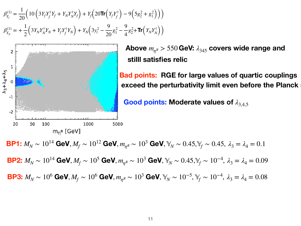$$
\beta_{Y_f}^{(1)} = \frac{1}{20} \Big( 10 \left( 3 Y_f Y_f^{\dagger} Y_f + Y_N Y_N^{\dagger} Y_f \right) + Y_f \Big( 20 \text{Tr} \Big( Y_f Y_f^{\dagger} \Big) - 9 \Big( 5 g_2^2 + g_1^2 \Big) \Big) \Big)
$$
  

$$
\beta_{Y_N}^{(1)} = + \frac{1}{2} \Big( 3 Y_N Y_N^{\dagger} Y_N + Y_f Y_f^{\dagger} Y_N \Big) + Y_N \Big( 3 y_t^2 - \frac{9}{20} g_1^2 - \frac{9}{4} g_2^2 + \text{Tr} \Big( Y_N Y_N^{\dagger} \Big) \Big)
$$



Above  $m_{nR} > 550$  GeV:  $\lambda_{345}$  covers wide range and **stilll satisfies relic**

**Bad points: RGE for large values of quartic couplings exceed the perturbativity limit even before the Planck scale**

**Good points: Moderate values of** *λ*3,4,5

**BP1:**  $M_N \sim 10^{14}$  GeV,  $M_f \sim 10^{12}$  GeV,  $m_{nR} \sim 10^3$  GeV,  $\mathbb{Y}_N \sim 0.45$ ,  $\mathbb{Y}_f \sim 0.45$ ,  $\lambda_3 = \lambda_4 = 0.1$ **BP2:**  $M_N$  ∼  $10^{14}$  GeV, $M_f$  ∼  $10^5$  GeV,  $m_{\eta^R}$  ∼  $10^3$  GeV,  $\mathbb{Y}_N$  ∼  $0.45, \mathbb{Y}_f$  ∼  $10^{-4}, \ \lambda_3 = \lambda_4 = 0.09$ **BP3:**  $M_N$  ∼ 10<sup>6</sup> GeV,  $M_f$  ∼ 10<sup>6</sup> GeV,  $m_{\eta^R}$  ∼ 10<sup>3</sup> GeV,  $\mathbb{Y}_N$  ∼ 10<sup>−5</sup>,  $\mathbb{Y}_f$  ∼ 10<sup>−4</sup>,  $\lambda_3 = \lambda_4 = 0.08$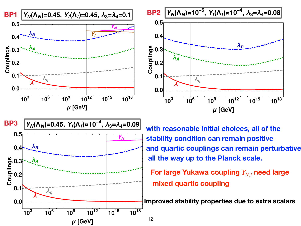



**with reasonable initial choices, all of the stability condition can remain positive and quartic couplings can remain perturbative all the way up to the Planck scale.**

**For large Yukawa coupling**  $Y_{N,f}$  need large **mixed quartic coupling**

**Improved stability properties due to extra scalars**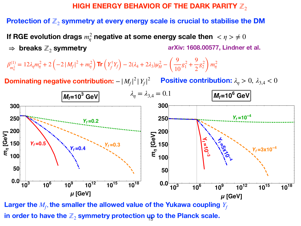#### **HIGH ENERGY BEHAVIOR OF THE DARK PARITY**  $\mathbb{Z}_2$

#### **Protection** of  $\mathbb{Z}_2$  symmetry at every energy scale is crucial to stabilise the DM

**If RGE** evolution drags  $m_\eta^2$  negative at some energy scale then  $<\eta>\neq0$  $\Rightarrow$  **breaks**  $\mathbb{Z}_2$  symmetry **arXiv: 1608.00577, Lindner et al.**

$$
\beta_{m_{\eta}^2}^{(1)} = 12\lambda_{\eta} m_{\eta}^2 + 2\left(-2\left|M_f\right|^2 + m_{\eta}^2\right) \text{Tr}\left(Y_f^{\dagger} Y_f\right) - 2(\lambda_4 + 2\lambda_3)\mu_H^2 - \left(\frac{9}{10}g_1^2 + \frac{9}{2}g_2^2\right) m_{\eta}^2
$$

**Dominating negative contribution:**  $-|M_f|^2 |Y_f|^2$  Positive contribution:  $\lambda_{\eta} > 0$ ,  $\lambda_{3,4} < 0$ 



Larger the  $M_f$ , the smaller the allowed value of the Yukawa coupling  $Y_f$ in order to have the  $\mathbb{Z}_2$  symmetry protection  $\boldsymbol{\mathsf{u}}\boldsymbol{\mathsf{p}}$  to the Planck scale.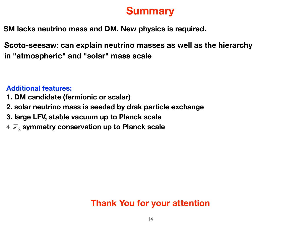# **Summary**

**SM lacks neutrino mass and DM. New physics is required.**

**Scoto-seesaw: can explain neutrino masses as well as the hierarchy in "atmospheric" and "solar" mass scale**

**Additional features:**

- **1. DM candidate (fermionic or scalar)**
- **2. solar neutrino mass is seeded by drak particle exchange**
- **3. large LFV, stable vacuum up to Planck scale**
- 4. ℤ<sup>2</sup> **symmetry conservation up to Planck scale**

## **Thank You for your attention**